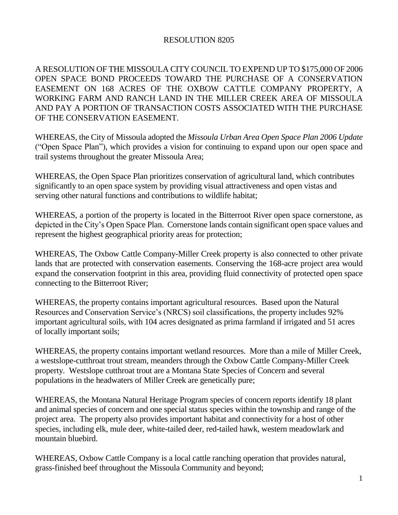## RESOLUTION 8205

A RESOLUTION OF THE MISSOULA CITY COUNCIL TO EXPEND UP TO \$175,000 OF 2006 OPEN SPACE BOND PROCEEDS TOWARD THE PURCHASE OF A CONSERVATION EASEMENT ON 168 ACRES OF THE OXBOW CATTLE COMPANY PROPERTY, A WORKING FARM AND RANCH LAND IN THE MILLER CREEK AREA OF MISSOULA AND PAY A PORTION OF TRANSACTION COSTS ASSOCIATED WITH THE PURCHASE OF THE CONSERVATION EASEMENT.

WHEREAS, the City of Missoula adopted the *Missoula Urban Area Open Space Plan 2006 Update*  ("Open Space Plan"), which provides a vision for continuing to expand upon our open space and trail systems throughout the greater Missoula Area;

WHEREAS, the Open Space Plan prioritizes conservation of agricultural land, which contributes significantly to an open space system by providing visual attractiveness and open vistas and serving other natural functions and contributions to wildlife habitat;

WHEREAS, a portion of the property is located in the Bitterroot River open space cornerstone, as depicted in the City's Open Space Plan. Cornerstone lands contain significant open space values and represent the highest geographical priority areas for protection;

WHEREAS, The Oxbow Cattle Company-Miller Creek property is also connected to other private lands that are protected with conservation easements. Conserving the 168-acre project area would expand the conservation footprint in this area, providing fluid connectivity of protected open space connecting to the Bitterroot River;

WHEREAS, the property contains important agricultural resources. Based upon the Natural Resources and Conservation Service's (NRCS) soil classifications, the property includes 92% important agricultural soils, with 104 acres designated as prima farmland if irrigated and 51 acres of locally important soils;

WHEREAS, the property contains important wetland resources. More than a mile of Miller Creek, a westslope-cutthroat trout stream, meanders through the Oxbow Cattle Company-Miller Creek property. Westslope cutthroat trout are a Montana State Species of Concern and several populations in the headwaters of Miller Creek are genetically pure;

WHEREAS, the Montana Natural Heritage Program species of concern reports identify 18 plant and animal species of concern and one special status species within the township and range of the project area. The property also provides important habitat and connectivity for a host of other species, including elk, mule deer, white-tailed deer, red-tailed hawk, western meadowlark and mountain bluebird.

WHEREAS, Oxbow Cattle Company is a local cattle ranching operation that provides natural, grass-finished beef throughout the Missoula Community and beyond;